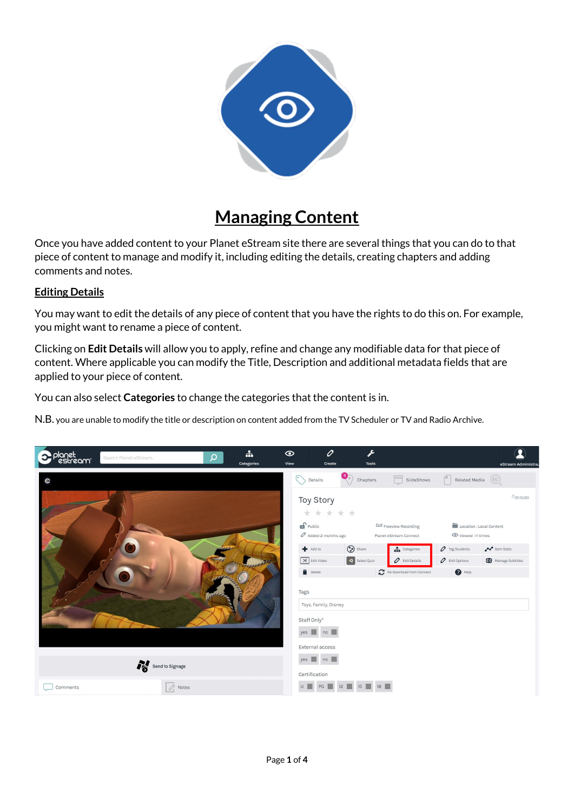

## **Managing Content**

Once you have added content to your Planet eStream site there are several things that you can do to that piece of content to manage and modify it, including editing the details, creating chapters and adding comments and notes.

## **Editing Details**

You may want to edit the details of any piece of content that you have the rights to do this on. For example, you might want to rename a piece of content.

Clicking on **Edit Details** will allow you to apply, refine and change any modifiable data for that piece of content. Where applicable you can modify the Title, Description and additional metadata fields that are applied to your piece of content.

You can also select **Categories** to change the categories that the content is in.

N.B. you are unable to modify the title or description on content added from the TV Scheduler or TV and Radio Archive.

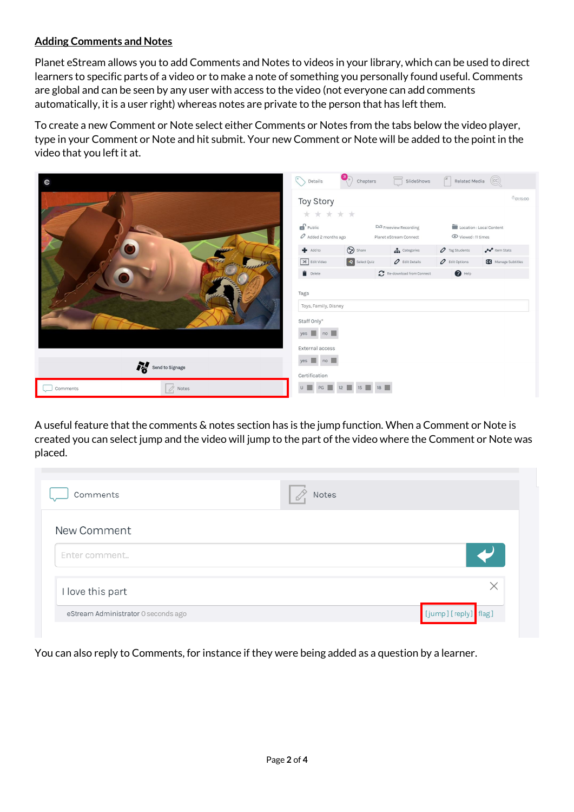## **Adding Comments and Notes**

Planet eStream allows you to add Comments and Notes to videos in your library, which can be used to direct learners to specific parts of a video or to make a note of something you personally found useful. Comments are global and can be seen by any user with access to the video (not everyone can add comments automatically, it is a user right) whereas notes are private to the person that has left them.

To create a new Comment or Note select either Comments or Notes from the tabs below the video player, type in your Comment or Note and hit submit. Your new Comment or Note will be added to the point in the video that you left it at.

| $\bullet$                         | $\odot$<br>$\text{Details} % \begin{minipage}[b]{.4\linewidth} \centering \includegraphics[width=\textwidth]{figures/cdf} \end{minipage} % \vspace{-1em} \caption{The \textit{Cov} of the \textit{Cov} model, the \textit{Cov} model, the \textit{Cov} model, the \textit{Cov} model, the \textit{Cov} model, the \textit{Cov} model, the \textit{Cov} model, the \textit{Cov} model, the \textit{Cov} model, the \textit{Cov} model, the \textit{Cov} model, the \textit{Cov} model, the \textit{Cov} model, the \textit{Cov} model, the \textit{Cov} model, the \textit{Cov$ |                       | Chapters <b>SlideShows</b>      | $\begin{pmatrix} 1 & 1 \\ 0 & 1 \end{pmatrix}$ Related Media |                            |  |
|-----------------------------------|--------------------------------------------------------------------------------------------------------------------------------------------------------------------------------------------------------------------------------------------------------------------------------------------------------------------------------------------------------------------------------------------------------------------------------------------------------------------------------------------------------------------------------------------------------------------------------|-----------------------|---------------------------------|--------------------------------------------------------------|----------------------------|--|
|                                   | Toy Story<br>* * * * *                                                                                                                                                                                                                                                                                                                                                                                                                                                                                                                                                         |                       |                                 |                                                              | 001:15:00                  |  |
|                                   | $\mathbf{r}$ Public                                                                                                                                                                                                                                                                                                                                                                                                                                                                                                                                                            |                       | D/3 Freeview Recording          | Location : Local Content                                     |                            |  |
|                                   | $\mathcal O$ Added 2 months ago                                                                                                                                                                                                                                                                                                                                                                                                                                                                                                                                                |                       | Planet eStream Connect          | Viewed: 11 times                                             |                            |  |
|                                   | Add to                                                                                                                                                                                                                                                                                                                                                                                                                                                                                                                                                                         | Share                 | $\frac{1}{\sqrt{1}}$ Categories | $\mathcal O$ Tag Students                                    | <b>Po</b> Item Stats       |  |
| Freue P                           | $\left[\frac{1}{26}\right]$ Edit Video                                                                                                                                                                                                                                                                                                                                                                                                                                                                                                                                         | Q Select Quiz         | $\mathcal O$ Edit Details       | $\mathcal O$ Edit Options                                    | <b>CC</b> Manage Subtitles |  |
|                                   | $\blacksquare$ Delete                                                                                                                                                                                                                                                                                                                                                                                                                                                                                                                                                          |                       | Re-download from Connect        | $\bigcirc$ Help                                              |                            |  |
|                                   | Tags<br>Toys, Family, Disney<br>Staff Only*<br>$yes \t m$ no $\n  $                                                                                                                                                                                                                                                                                                                                                                                                                                                                                                            |                       |                                 |                                                              |                            |  |
|                                   | External access                                                                                                                                                                                                                                                                                                                                                                                                                                                                                                                                                                |                       |                                 |                                                              |                            |  |
| Send to Signage                   | $yes \t m$ no $\blacksquare$<br>Certification                                                                                                                                                                                                                                                                                                                                                                                                                                                                                                                                  |                       |                                 |                                                              |                            |  |
| $\mathcal{Q}_1$ Notes<br>Comments |                                                                                                                                                                                                                                                                                                                                                                                                                                                                                                                                                                                | U   PG   12   15   18 |                                 |                                                              |                            |  |

A useful feature that the comments & notes section has is the jump function. When a Comment or Note is created you can select jump and the video will jump to the part of the video where the Comment or Note was placed.

| Comments                            | Notes |                     |
|-------------------------------------|-------|---------------------|
| New Comment                         |       |                     |
| Enter comment                       |       |                     |
| I love this part                    |       | $\times$            |
| eStream Administrator 0 seconds ago |       | [jump][reply] flag] |

You can also reply to Comments, for instance if they were being added as a question by a learner.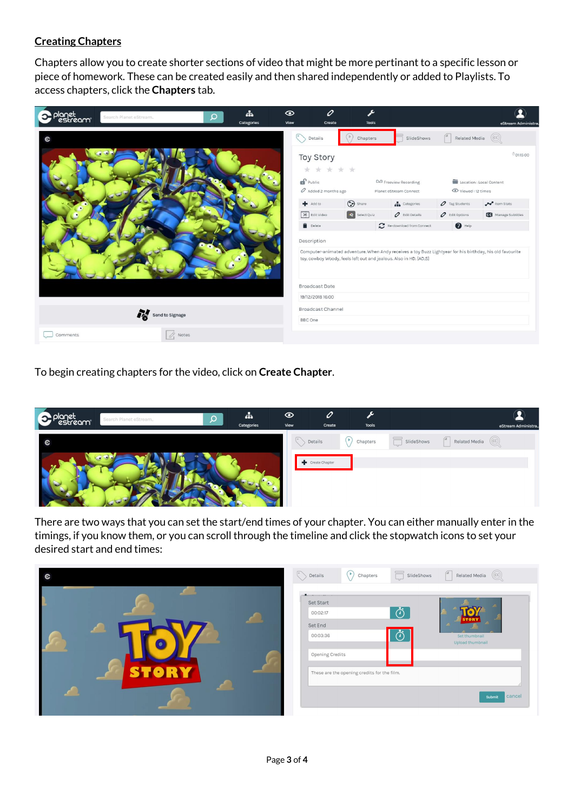## **Creating Chapters**

Chapters allow you to create shorter sections of video that might be more pertinant to a specific lesson or piece of homework. These can be created easily and then shared independently or added to Playlists. To access chapters, click the **Chapters** tab.



To begin creating chapters for the video, click on **Create Chapter**.



There are two ways that you can set the start/end times of your chapter. You can either manually enter in the timings, if you know them, or you can scroll through the timeline and click the stopwatch icons to set your desired start and end times: